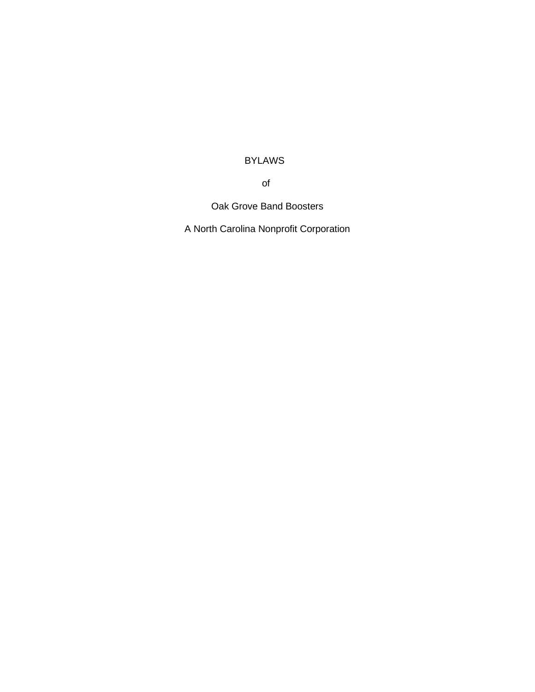# BYLAWS

of

Oak Grove Band Boosters

A North Carolina Nonprofit Corporation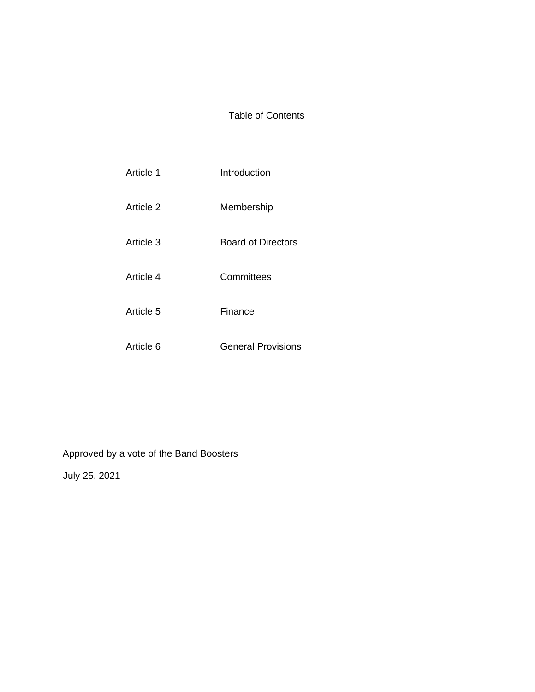## Table of Contents

| Article 1 | Introduction              |
|-----------|---------------------------|
| Article 2 | Membership                |
| Article 3 | <b>Board of Directors</b> |
| Article 4 | Committees                |
| Article 5 | Finance                   |
| Article 6 | <b>General Provisions</b> |

Approved by a vote of the Band Boosters

July 25, 2021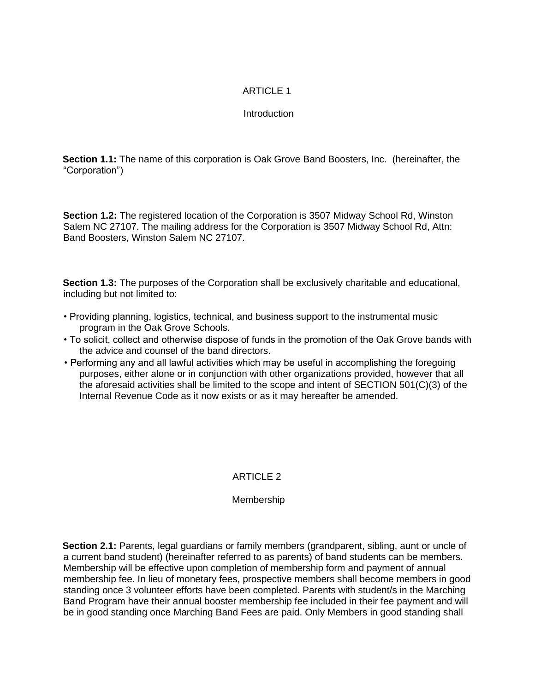## ARTICLE 1

## **Introduction**

**Section 1.1:** The name of this corporation is Oak Grove Band Boosters, Inc. (hereinafter, the "Corporation")

**Section 1.2:** The registered location of the Corporation is 3507 Midway School Rd, Winston Salem NC 27107. The mailing address for the Corporation is 3507 Midway School Rd, Attn: Band Boosters, Winston Salem NC 27107.

**Section 1.3:** The purposes of the Corporation shall be exclusively charitable and educational, including but not limited to:

- Providing planning, logistics, technical, and business support to the instrumental music program in the Oak Grove Schools.
- To solicit, collect and otherwise dispose of funds in the promotion of the Oak Grove bands with the advice and counsel of the band directors.
- Performing any and all lawful activities which may be useful in accomplishing the foregoing purposes, either alone or in conjunction with other organizations provided, however that all the aforesaid activities shall be limited to the scope and intent of SECTION 501(C)(3) of the Internal Revenue Code as it now exists or as it may hereafter be amended.

## ARTICLE 2

## Membership

**Section 2.1:** Parents, legal guardians or family members (grandparent, sibling, aunt or uncle of a current band student) (hereinafter referred to as parents) of band students can be members. Membership will be effective upon completion of membership form and payment of annual membership fee. In lieu of monetary fees, prospective members shall become members in good standing once 3 volunteer efforts have been completed. Parents with student/s in the Marching Band Program have their annual booster membership fee included in their fee payment and will be in good standing once Marching Band Fees are paid. Only Members in good standing shall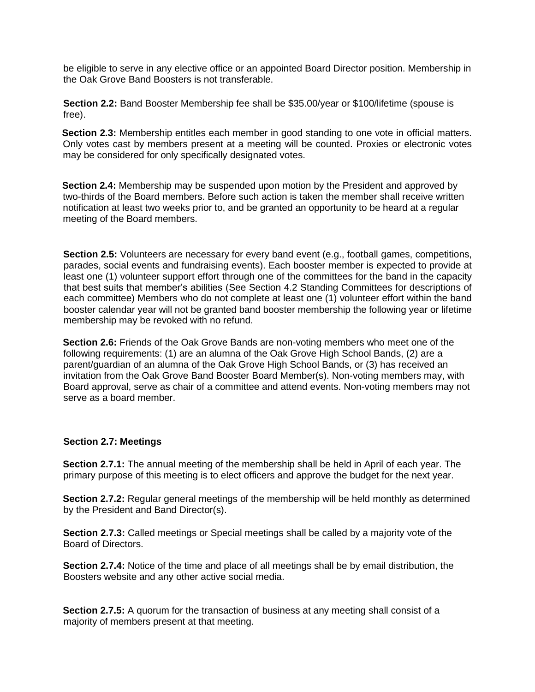be eligible to serve in any elective office or an appointed Board Director position. Membership in the Oak Grove Band Boosters is not transferable.

**Section 2.2:** Band Booster Membership fee shall be \$35.00/year or \$100/lifetime (spouse is free).

**Section 2.3:** Membership entitles each member in good standing to one vote in official matters. Only votes cast by members present at a meeting will be counted. Proxies or electronic votes may be considered for only specifically designated votes.

**Section 2.4:** Membership may be suspended upon motion by the President and approved by two-thirds of the Board members. Before such action is taken the member shall receive written notification at least two weeks prior to, and be granted an opportunity to be heard at a regular meeting of the Board members.

**Section 2.5:** Volunteers are necessary for every band event (e.g., football games, competitions, parades, social events and fundraising events). Each booster member is expected to provide at least one (1) volunteer support effort through one of the committees for the band in the capacity that best suits that member's abilities (See Section 4.2 Standing Committees for descriptions of each committee) Members who do not complete at least one (1) volunteer effort within the band booster calendar year will not be granted band booster membership the following year or lifetime membership may be revoked with no refund.

**Section 2.6:** Friends of the Oak Grove Bands are non-voting members who meet one of the following requirements: (1) are an alumna of the Oak Grove High School Bands, (2) are a parent/guardian of an alumna of the Oak Grove High School Bands, or (3) has received an invitation from the Oak Grove Band Booster Board Member(s). Non-voting members may, with Board approval, serve as chair of a committee and attend events. Non-voting members may not serve as a board member.

## **Section 2.7: Meetings**

**Section 2.7.1:** The annual meeting of the membership shall be held in April of each year. The primary purpose of this meeting is to elect officers and approve the budget for the next year.

**Section 2.7.2:** Regular general meetings of the membership will be held monthly as determined by the President and Band Director(s).

**Section 2.7.3:** Called meetings or Special meetings shall be called by a majority vote of the Board of Directors.

**Section 2.7.4:** Notice of the time and place of all meetings shall be by email distribution, the Boosters website and any other active social media.

**Section 2.7.5:** A quorum for the transaction of business at any meeting shall consist of a majority of members present at that meeting.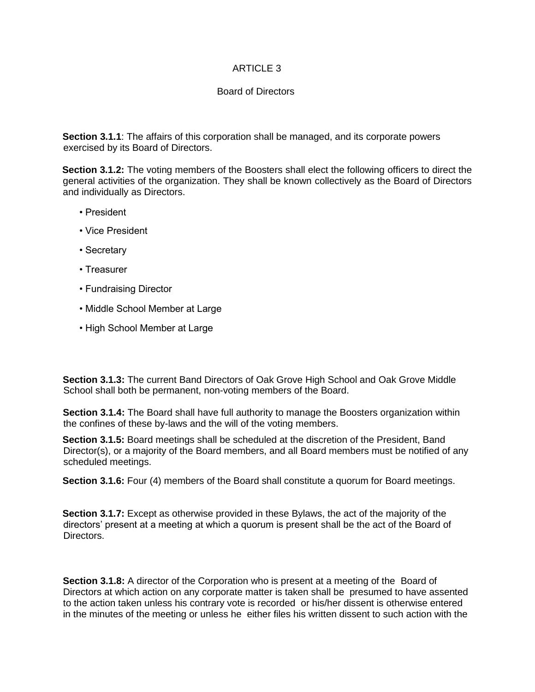## ARTICLE 3

## Board of Directors

**Section 3.1.1**: The affairs of this corporation shall be managed, and its corporate powers exercised by its Board of Directors.

**Section 3.1.2:** The voting members of the Boosters shall elect the following officers to direct the general activities of the organization. They shall be known collectively as the Board of Directors and individually as Directors.

- President
- Vice President
- Secretary
- Treasurer
- Fundraising Director
- Middle School Member at Large
- High School Member at Large

**Section 3.1.3:** The current Band Directors of Oak Grove High School and Oak Grove Middle School shall both be permanent, non-voting members of the Board.

**Section 3.1.4:** The Board shall have full authority to manage the Boosters organization within the confines of these by-laws and the will of the voting members.

**Section 3.1.5:** Board meetings shall be scheduled at the discretion of the President, Band Director(s), or a majority of the Board members, and all Board members must be notified of any scheduled meetings.

**Section 3.1.6:** Four (4) members of the Board shall constitute a quorum for Board meetings.

**Section 3.1.7:** Except as otherwise provided in these Bylaws, the act of the majority of the directors' present at a meeting at which a quorum is present shall be the act of the Board of Directors.

**Section 3.1.8:** A director of the Corporation who is present at a meeting of the Board of Directors at which action on any corporate matter is taken shall be presumed to have assented to the action taken unless his contrary vote is recorded or his/her dissent is otherwise entered in the minutes of the meeting or unless he either files his written dissent to such action with the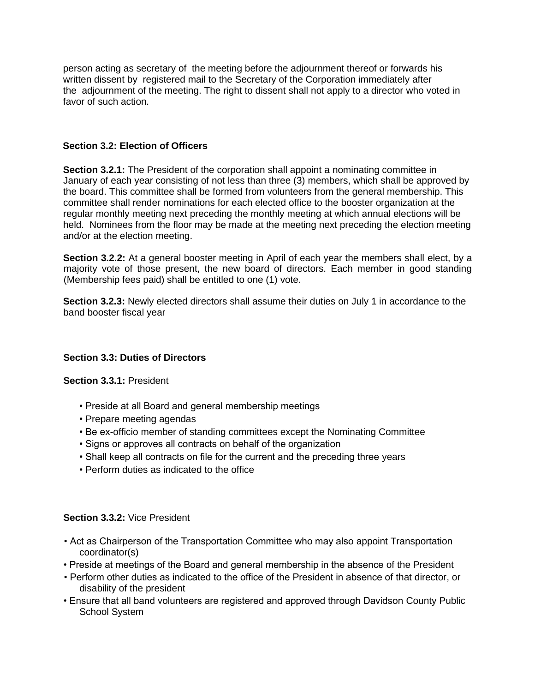person acting as secretary of the meeting before the adjournment thereof or forwards his written dissent by registered mail to the Secretary of the Corporation immediately after the adjournment of the meeting. The right to dissent shall not apply to a director who voted in favor of such action.

## **Section 3.2: Election of Officers**

**Section 3.2.1:** The President of the corporation shall appoint a nominating committee in January of each year consisting of not less than three (3) members, which shall be approved by the board. This committee shall be formed from volunteers from the general membership. This committee shall render nominations for each elected office to the booster organization at the regular monthly meeting next preceding the monthly meeting at which annual elections will be held. Nominees from the floor may be made at the meeting next preceding the election meeting and/or at the election meeting.

**Section 3.2.2:** At a general booster meeting in April of each year the members shall elect, by a majority vote of those present, the new board of directors. Each member in good standing (Membership fees paid) shall be entitled to one (1) vote.

**Section 3.2.3:** Newly elected directors shall assume their duties on July 1 in accordance to the band booster fiscal year

## **Section 3.3: Duties of Directors**

**Section 3.3.1:** President

- Preside at all Board and general membership meetings
- Prepare meeting agendas
- Be ex-officio member of standing committees except the Nominating Committee
- Signs or approves all contracts on behalf of the organization
- Shall keep all contracts on file for the current and the preceding three years
- Perform duties as indicated to the office

## **Section 3.3.2:** Vice President

- Act as Chairperson of the Transportation Committee who may also appoint Transportation coordinator(s)
- Preside at meetings of the Board and general membership in the absence of the President
- Perform other duties as indicated to the office of the President in absence of that director, or disability of the president
- Ensure that all band volunteers are registered and approved through Davidson County Public School System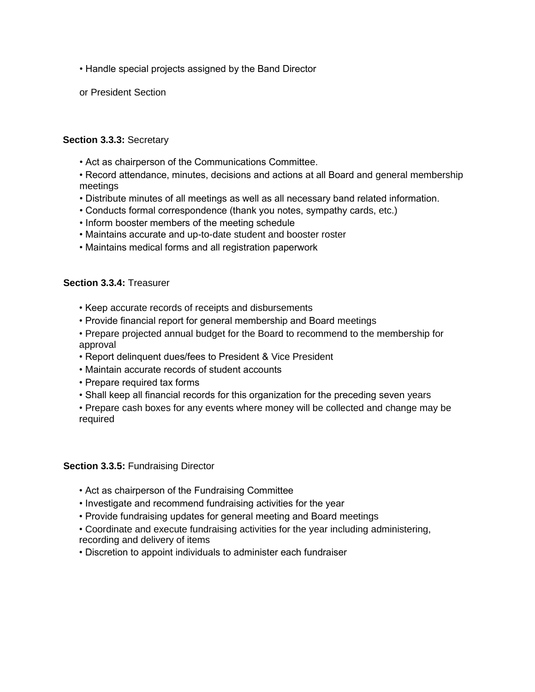- Handle special projects assigned by the Band Director
- or President Section

#### **Section 3.3.3:** Secretary

• Act as chairperson of the Communications Committee.

• Record attendance, minutes, decisions and actions at all Board and general membership meetings

- Distribute minutes of all meetings as well as all necessary band related information.
- Conducts formal correspondence (thank you notes, sympathy cards, etc.)
- Inform booster members of the meeting schedule
- Maintains accurate and up-to-date student and booster roster
- Maintains medical forms and all registration paperwork

#### **Section 3.3.4:** Treasurer

- Keep accurate records of receipts and disbursements
- Provide financial report for general membership and Board meetings
- Prepare projected annual budget for the Board to recommend to the membership for approval
- Report delinquent dues/fees to President & Vice President
- Maintain accurate records of student accounts
- Prepare required tax forms
- Shall keep all financial records for this organization for the preceding seven years

• Prepare cash boxes for any events where money will be collected and change may be required

#### **Section 3.3.5:** Fundraising Director

- Act as chairperson of the Fundraising Committee
- Investigate and recommend fundraising activities for the year
- Provide fundraising updates for general meeting and Board meetings
- Coordinate and execute fundraising activities for the year including administering, recording and delivery of items
- Discretion to appoint individuals to administer each fundraiser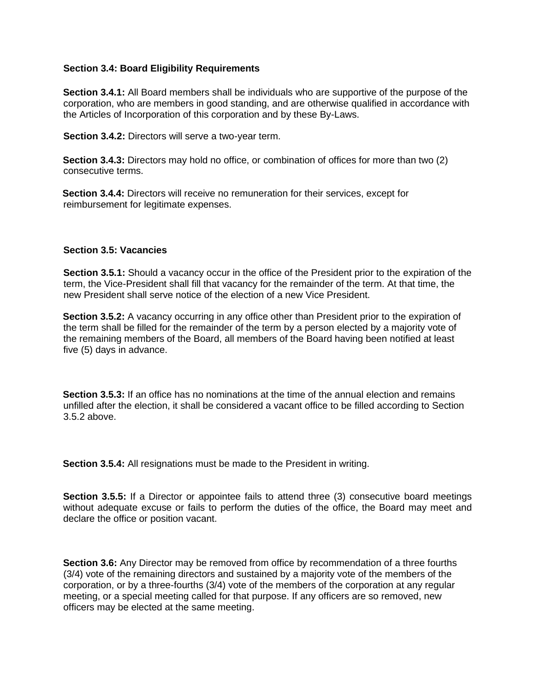#### **Section 3.4: Board Eligibility Requirements**

**Section 3.4.1:** All Board members shall be individuals who are supportive of the purpose of the corporation, who are members in good standing, and are otherwise qualified in accordance with the Articles of Incorporation of this corporation and by these By-Laws.

**Section 3.4.2:** Directors will serve a two-year term.

**Section 3.4.3:** Directors may hold no office, or combination of offices for more than two (2) consecutive terms.

**Section 3.4.4:** Directors will receive no remuneration for their services, except for reimbursement for legitimate expenses.

#### **Section 3.5: Vacancies**

**Section 3.5.1:** Should a vacancy occur in the office of the President prior to the expiration of the term, the Vice-President shall fill that vacancy for the remainder of the term. At that time, the new President shall serve notice of the election of a new Vice President.

**Section 3.5.2:** A vacancy occurring in any office other than President prior to the expiration of the term shall be filled for the remainder of the term by a person elected by a majority vote of the remaining members of the Board, all members of the Board having been notified at least five (5) days in advance.

**Section 3.5.3:** If an office has no nominations at the time of the annual election and remains unfilled after the election, it shall be considered a vacant office to be filled according to Section 3.5.2 above.

**Section 3.5.4:** All resignations must be made to the President in writing.

**Section 3.5.5:** If a Director or appointee fails to attend three (3) consecutive board meetings without adequate excuse or fails to perform the duties of the office, the Board may meet and declare the office or position vacant.

**Section 3.6:** Any Director may be removed from office by recommendation of a three fourths (3/4) vote of the remaining directors and sustained by a majority vote of the members of the corporation, or by a three-fourths (3/4) vote of the members of the corporation at any regular meeting, or a special meeting called for that purpose. If any officers are so removed, new officers may be elected at the same meeting.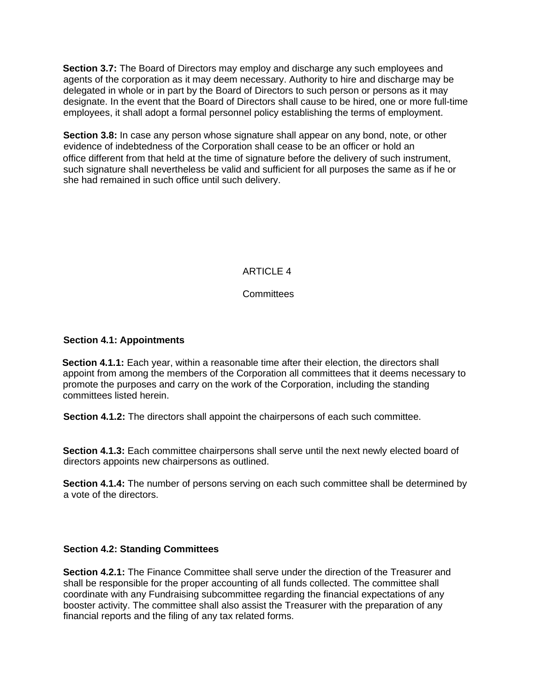**Section 3.7:** The Board of Directors may employ and discharge any such employees and agents of the corporation as it may deem necessary. Authority to hire and discharge may be delegated in whole or in part by the Board of Directors to such person or persons as it may designate. In the event that the Board of Directors shall cause to be hired, one or more full-time employees, it shall adopt a formal personnel policy establishing the terms of employment.

**Section 3.8:** In case any person whose signature shall appear on any bond, note, or other evidence of indebtedness of the Corporation shall cease to be an officer or hold an office different from that held at the time of signature before the delivery of such instrument, such signature shall nevertheless be valid and sufficient for all purposes the same as if he or she had remained in such office until such delivery.

## ARTICLE 4

## **Committees**

#### **Section 4.1: Appointments**

**Section 4.1.1:** Each year, within a reasonable time after their election, the directors shall appoint from among the members of the Corporation all committees that it deems necessary to promote the purposes and carry on the work of the Corporation, including the standing committees listed herein.

**Section 4.1.2:** The directors shall appoint the chairpersons of each such committee.

**Section 4.1.3:** Each committee chairpersons shall serve until the next newly elected board of directors appoints new chairpersons as outlined.

**Section 4.1.4:** The number of persons serving on each such committee shall be determined by a vote of the directors.

#### **Section 4.2: Standing Committees**

**Section 4.2.1:** The Finance Committee shall serve under the direction of the Treasurer and shall be responsible for the proper accounting of all funds collected. The committee shall coordinate with any Fundraising subcommittee regarding the financial expectations of any booster activity. The committee shall also assist the Treasurer with the preparation of any financial reports and the filing of any tax related forms.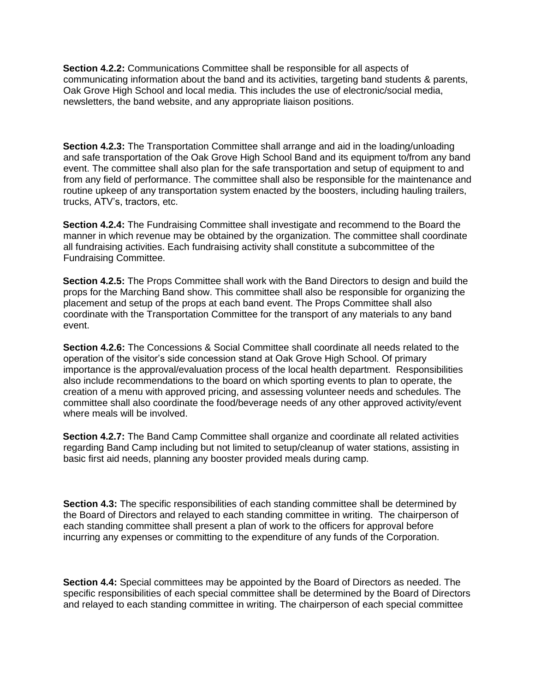**Section 4.2.2:** Communications Committee shall be responsible for all aspects of communicating information about the band and its activities, targeting band students & parents, Oak Grove High School and local media. This includes the use of electronic/social media, newsletters, the band website, and any appropriate liaison positions.

**Section 4.2.3:** The Transportation Committee shall arrange and aid in the loading/unloading and safe transportation of the Oak Grove High School Band and its equipment to/from any band event. The committee shall also plan for the safe transportation and setup of equipment to and from any field of performance. The committee shall also be responsible for the maintenance and routine upkeep of any transportation system enacted by the boosters, including hauling trailers, trucks, ATV's, tractors, etc.

**Section 4.2.4:** The Fundraising Committee shall investigate and recommend to the Board the manner in which revenue may be obtained by the organization. The committee shall coordinate all fundraising activities. Each fundraising activity shall constitute a subcommittee of the Fundraising Committee.

**Section 4.2.5:** The Props Committee shall work with the Band Directors to design and build the props for the Marching Band show. This committee shall also be responsible for organizing the placement and setup of the props at each band event. The Props Committee shall also coordinate with the Transportation Committee for the transport of any materials to any band event.

**Section 4.2.6:** The Concessions & Social Committee shall coordinate all needs related to the operation of the visitor's side concession stand at Oak Grove High School. Of primary importance is the approval/evaluation process of the local health department. Responsibilities also include recommendations to the board on which sporting events to plan to operate, the creation of a menu with approved pricing, and assessing volunteer needs and schedules. The committee shall also coordinate the food/beverage needs of any other approved activity/event where meals will be involved.

**Section 4.2.7:** The Band Camp Committee shall organize and coordinate all related activities regarding Band Camp including but not limited to setup/cleanup of water stations, assisting in basic first aid needs, planning any booster provided meals during camp.

**Section 4.3:** The specific responsibilities of each standing committee shall be determined by the Board of Directors and relayed to each standing committee in writing. The chairperson of each standing committee shall present a plan of work to the officers for approval before incurring any expenses or committing to the expenditure of any funds of the Corporation.

**Section 4.4:** Special committees may be appointed by the Board of Directors as needed. The specific responsibilities of each special committee shall be determined by the Board of Directors and relayed to each standing committee in writing. The chairperson of each special committee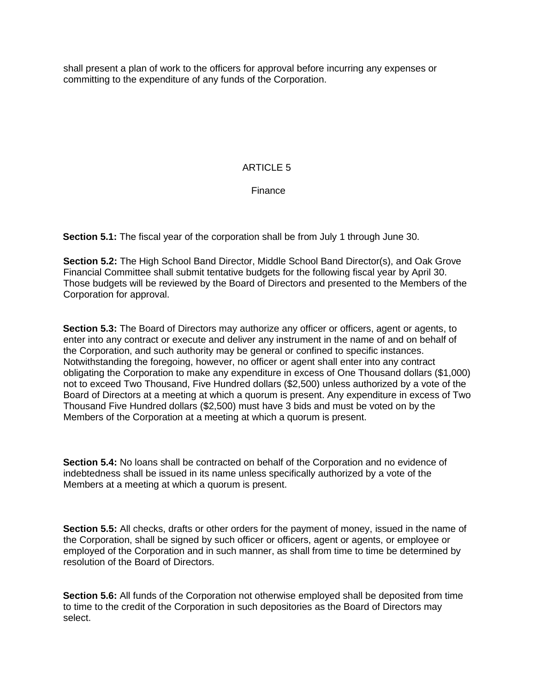shall present a plan of work to the officers for approval before incurring any expenses or committing to the expenditure of any funds of the Corporation.

## ARTICLE 5

Finance

**Section 5.1:** The fiscal year of the corporation shall be from July 1 through June 30.

**Section 5.2:** The High School Band Director, Middle School Band Director(s), and Oak Grove Financial Committee shall submit tentative budgets for the following fiscal year by April 30. Those budgets will be reviewed by the Board of Directors and presented to the Members of the Corporation for approval.

**Section 5.3:** The Board of Directors may authorize any officer or officers, agent or agents, to enter into any contract or execute and deliver any instrument in the name of and on behalf of the Corporation, and such authority may be general or confined to specific instances. Notwithstanding the foregoing, however, no officer or agent shall enter into any contract obligating the Corporation to make any expenditure in excess of One Thousand dollars (\$1,000) not to exceed Two Thousand, Five Hundred dollars (\$2,500) unless authorized by a vote of the Board of Directors at a meeting at which a quorum is present. Any expenditure in excess of Two Thousand Five Hundred dollars (\$2,500) must have 3 bids and must be voted on by the Members of the Corporation at a meeting at which a quorum is present.

**Section 5.4:** No loans shall be contracted on behalf of the Corporation and no evidence of indebtedness shall be issued in its name unless specifically authorized by a vote of the Members at a meeting at which a quorum is present.

**Section 5.5:** All checks, drafts or other orders for the payment of money, issued in the name of the Corporation, shall be signed by such officer or officers, agent or agents, or employee or employed of the Corporation and in such manner, as shall from time to time be determined by resolution of the Board of Directors.

**Section 5.6:** All funds of the Corporation not otherwise employed shall be deposited from time to time to the credit of the Corporation in such depositories as the Board of Directors may select.